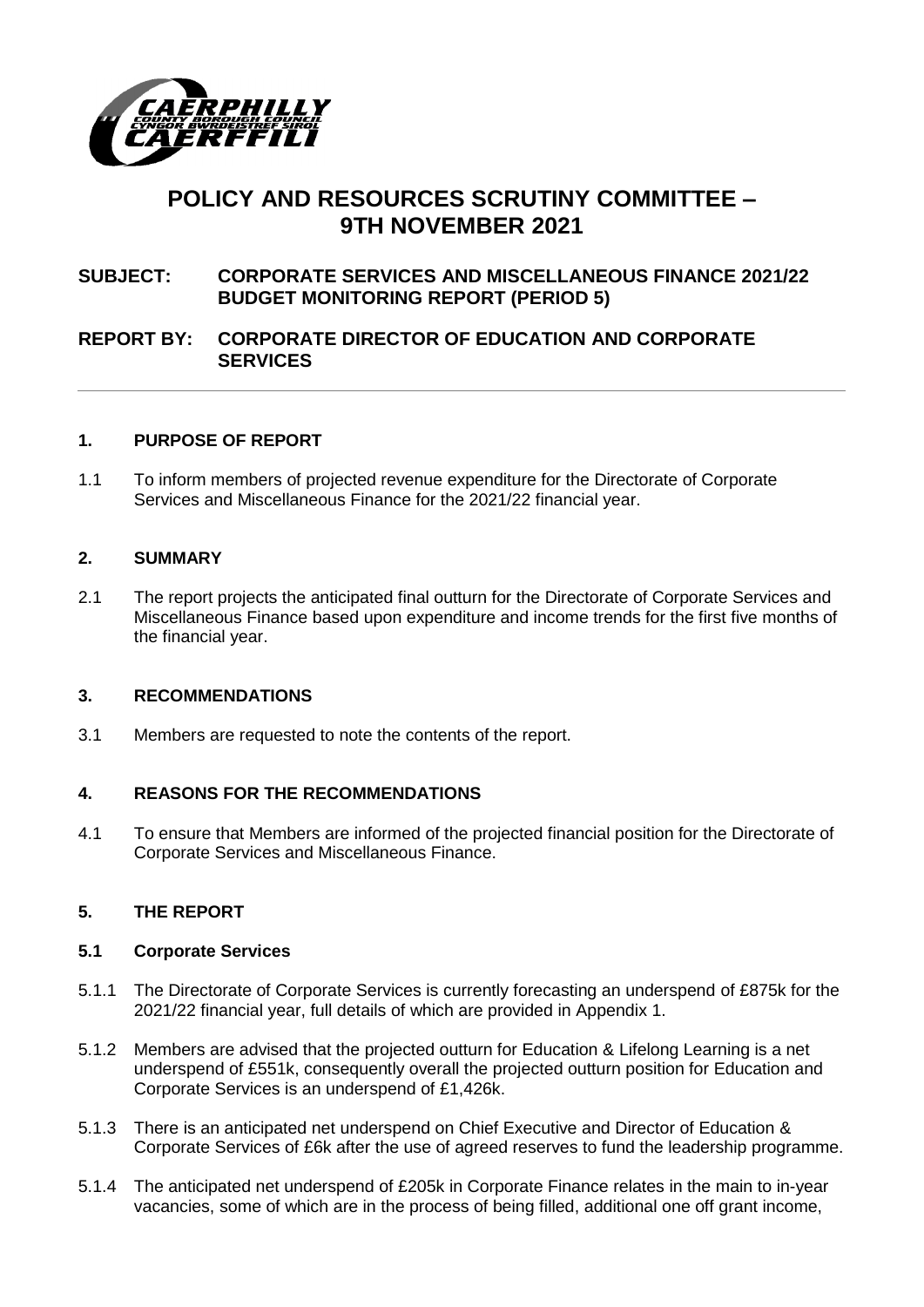

# **POLICY AND RESOURCES SCRUTINY COMMITTEE – 9TH NOVEMBER 2021**

# **SUBJECT: CORPORATE SERVICES AND MISCELLANEOUS FINANCE 2021/22 BUDGET MONITORING REPORT (PERIOD 5)**

### **REPORT BY: CORPORATE DIRECTOR OF EDUCATION AND CORPORATE SERVICES**

### **1. PURPOSE OF REPORT**

1.1 To inform members of projected revenue expenditure for the Directorate of Corporate Services and Miscellaneous Finance for the 2021/22 financial year.

#### **2. SUMMARY**

2.1 The report projects the anticipated final outturn for the Directorate of Corporate Services and Miscellaneous Finance based upon expenditure and income trends for the first five months of the financial year.

#### **3. RECOMMENDATIONS**

3.1 Members are requested to note the contents of the report.

### **4. REASONS FOR THE RECOMMENDATIONS**

4.1 To ensure that Members are informed of the projected financial position for the Directorate of Corporate Services and Miscellaneous Finance.

### **5. THE REPORT**

#### **5.1 Corporate Services**

- 5.1.1 The Directorate of Corporate Services is currently forecasting an underspend of £875k for the 2021/22 financial year, full details of which are provided in Appendix 1.
- 5.1.2 Members are advised that the projected outturn for Education & Lifelong Learning is a net underspend of £551k, consequently overall the projected outturn position for Education and Corporate Services is an underspend of £1,426k.
- 5.1.3 There is an anticipated net underspend on Chief Executive and Director of Education & Corporate Services of £6k after the use of agreed reserves to fund the leadership programme.
- 5.1.4 The anticipated net underspend of £205k in Corporate Finance relates in the main to in-year vacancies, some of which are in the process of being filled, additional one off grant income,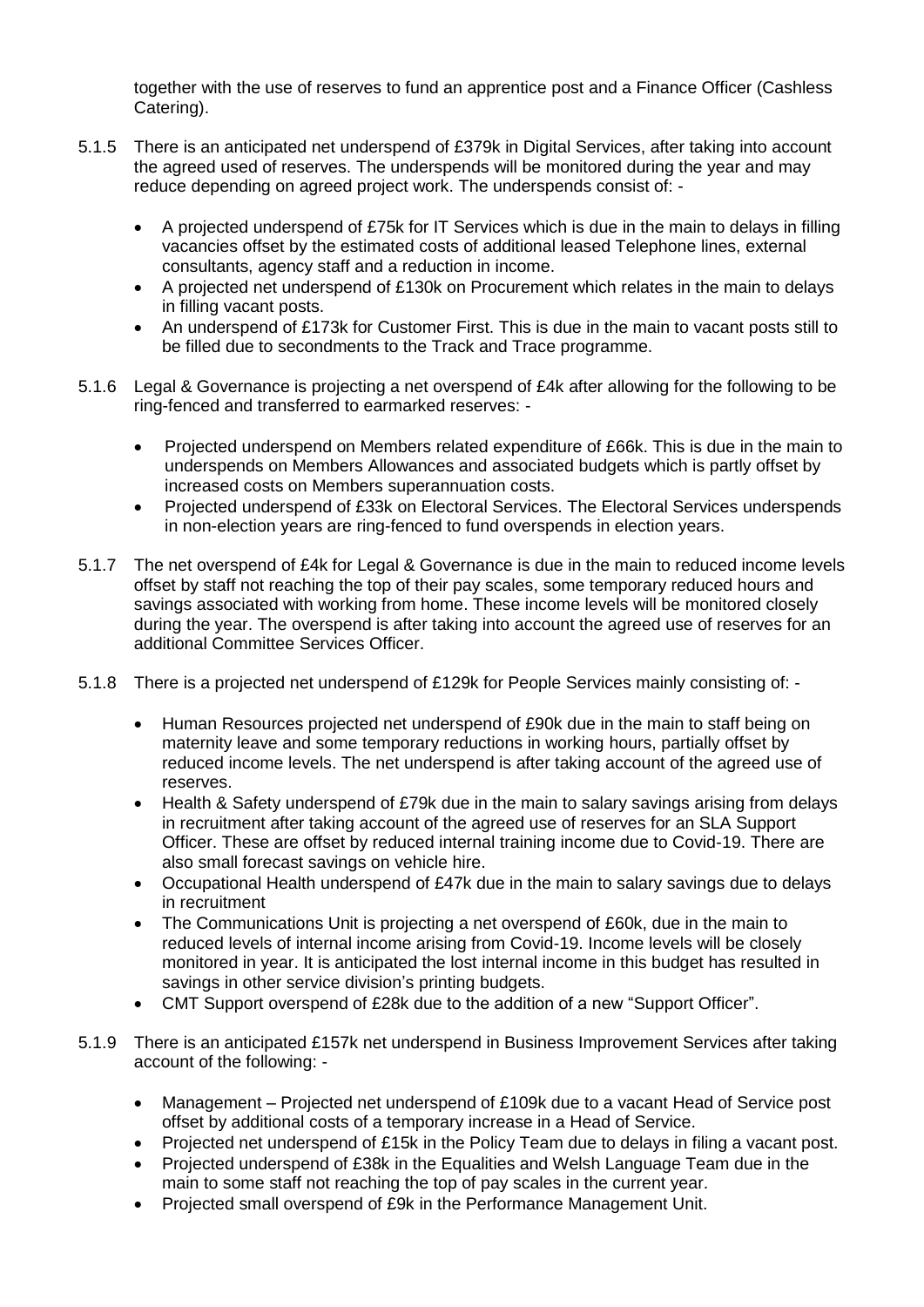together with the use of reserves to fund an apprentice post and a Finance Officer (Cashless Catering).

- 5.1.5 There is an anticipated net underspend of £379k in Digital Services, after taking into account the agreed used of reserves. The underspends will be monitored during the year and may reduce depending on agreed project work. The underspends consist of: -
	- A projected underspend of £75k for IT Services which is due in the main to delays in filling vacancies offset by the estimated costs of additional leased Telephone lines, external consultants, agency staff and a reduction in income.
	- A projected net underspend of £130k on Procurement which relates in the main to delays in filling vacant posts.
	- An underspend of £173k for Customer First. This is due in the main to vacant posts still to be filled due to secondments to the Track and Trace programme.
- 5.1.6 Legal & Governance is projecting a net overspend of £4k after allowing for the following to be ring-fenced and transferred to earmarked reserves: -
	- Projected underspend on Members related expenditure of £66k. This is due in the main to underspends on Members Allowances and associated budgets which is partly offset by increased costs on Members superannuation costs.
	- Projected underspend of £33k on Electoral Services. The Electoral Services underspends in non-election years are ring-fenced to fund overspends in election years.
- 5.1.7 The net overspend of £4k for Legal & Governance is due in the main to reduced income levels offset by staff not reaching the top of their pay scales, some temporary reduced hours and savings associated with working from home. These income levels will be monitored closely during the year. The overspend is after taking into account the agreed use of reserves for an additional Committee Services Officer.
- 5.1.8 There is a projected net underspend of £129k for People Services mainly consisting of:
	- Human Resources projected net underspend of £90k due in the main to staff being on maternity leave and some temporary reductions in working hours, partially offset by reduced income levels. The net underspend is after taking account of the agreed use of reserves.
	- Health & Safety underspend of £79k due in the main to salary savings arising from delays in recruitment after taking account of the agreed use of reserves for an SLA Support Officer. These are offset by reduced internal training income due to Covid-19. There are also small forecast savings on vehicle hire.
	- Occupational Health underspend of £47k due in the main to salary savings due to delays in recruitment
	- The Communications Unit is projecting a net overspend of £60k, due in the main to reduced levels of internal income arising from Covid-19. Income levels will be closely monitored in year. It is anticipated the lost internal income in this budget has resulted in savings in other service division's printing budgets.
	- CMT Support overspend of £28k due to the addition of a new "Support Officer".
- 5.1.9 There is an anticipated £157k net underspend in Business Improvement Services after taking account of the following: -
	- Management Projected net underspend of £109k due to a vacant Head of Service post offset by additional costs of a temporary increase in a Head of Service.
	- Projected net underspend of £15k in the Policy Team due to delays in filing a vacant post.
	- Projected underspend of £38k in the Equalities and Welsh Language Team due in the main to some staff not reaching the top of pay scales in the current year.
	- Projected small overspend of £9k in the Performance Management Unit.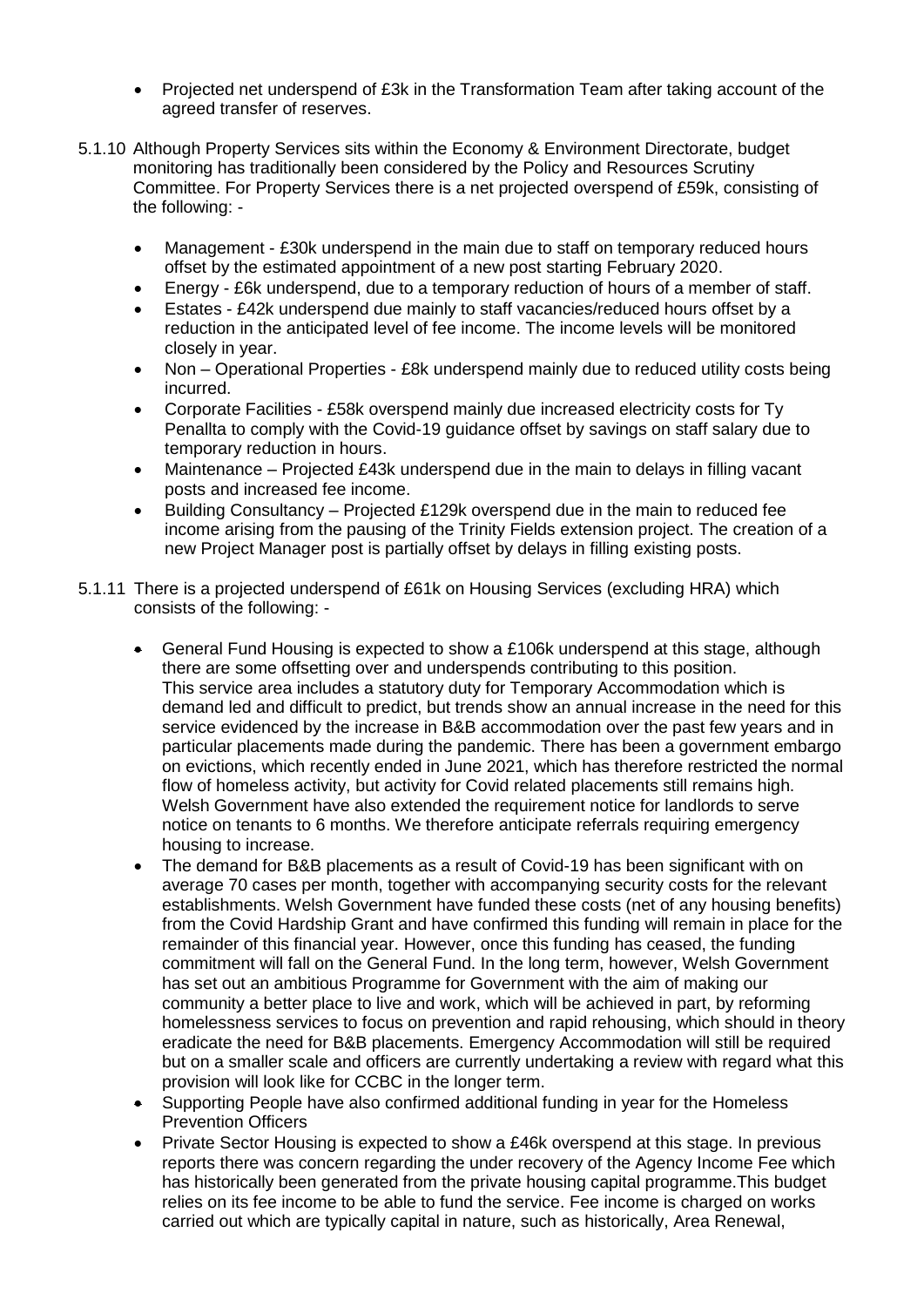- Projected net underspend of £3k in the Transformation Team after taking account of the agreed transfer of reserves.
- 5.1.10 Although Property Services sits within the Economy & Environment Directorate, budget monitoring has traditionally been considered by the Policy and Resources Scrutiny Committee. For Property Services there is a net projected overspend of £59k, consisting of the following: -
	- Management £30k underspend in the main due to staff on temporary reduced hours offset by the estimated appointment of a new post starting February 2020.
	- Energy £6k underspend, due to a temporary reduction of hours of a member of staff.
	- Estates £42k underspend due mainly to staff vacancies/reduced hours offset by a reduction in the anticipated level of fee income. The income levels will be monitored closely in year.
	- Non Operational Properties £8k underspend mainly due to reduced utility costs being incurred.
	- Corporate Facilities £58k overspend mainly due increased electricity costs for Ty Penallta to comply with the Covid-19 guidance offset by savings on staff salary due to temporary reduction in hours.
	- Maintenance Projected £43k underspend due in the main to delays in filling vacant posts and increased fee income.
	- Building Consultancy Projected £129k overspend due in the main to reduced fee income arising from the pausing of the Trinity Fields extension project. The creation of a new Project Manager post is partially offset by delays in filling existing posts.
- 5.1.11 There is a projected underspend of £61k on Housing Services (excluding HRA) which consists of the following: -
	- General Fund Housing is expected to show a £106k underspend at this stage, although there are some offsetting over and underspends contributing to this position. This service area includes a statutory duty for Temporary Accommodation which is demand led and difficult to predict, but trends show an annual increase in the need for this service evidenced by the increase in B&B accommodation over the past few years and in particular placements made during the pandemic. There has been a government embargo on evictions, which recently ended in June 2021, which has therefore restricted the normal flow of homeless activity, but activity for Covid related placements still remains high. Welsh Government have also extended the requirement notice for landlords to serve notice on tenants to 6 months. We therefore anticipate referrals requiring emergency housing to increase.
	- The demand for B&B placements as a result of Covid-19 has been significant with on average 70 cases per month, together with accompanying security costs for the relevant establishments. Welsh Government have funded these costs (net of any housing benefits) from the Covid Hardship Grant and have confirmed this funding will remain in place for the remainder of this financial year. However, once this funding has ceased, the funding commitment will fall on the General Fund. In the long term, however, Welsh Government has set out an ambitious Programme for Government with the aim of making our community a better place to live and work, which will be achieved in part, by reforming homelessness services to focus on prevention and rapid rehousing, which should in theory eradicate the need for B&B placements. Emergency Accommodation will still be required but on a smaller scale and officers are currently undertaking a review with regard what this provision will look like for CCBC in the longer term.
	- Supporting People have also confirmed additional funding in year for the Homeless Prevention Officers
	- Private Sector Housing is expected to show a £46k overspend at this stage. In previous reports there was concern regarding the under recovery of the Agency Income Fee which has historically been generated from the private housing capital programme.This budget relies on its fee income to be able to fund the service. Fee income is charged on works carried out which are typically capital in nature, such as historically, Area Renewal,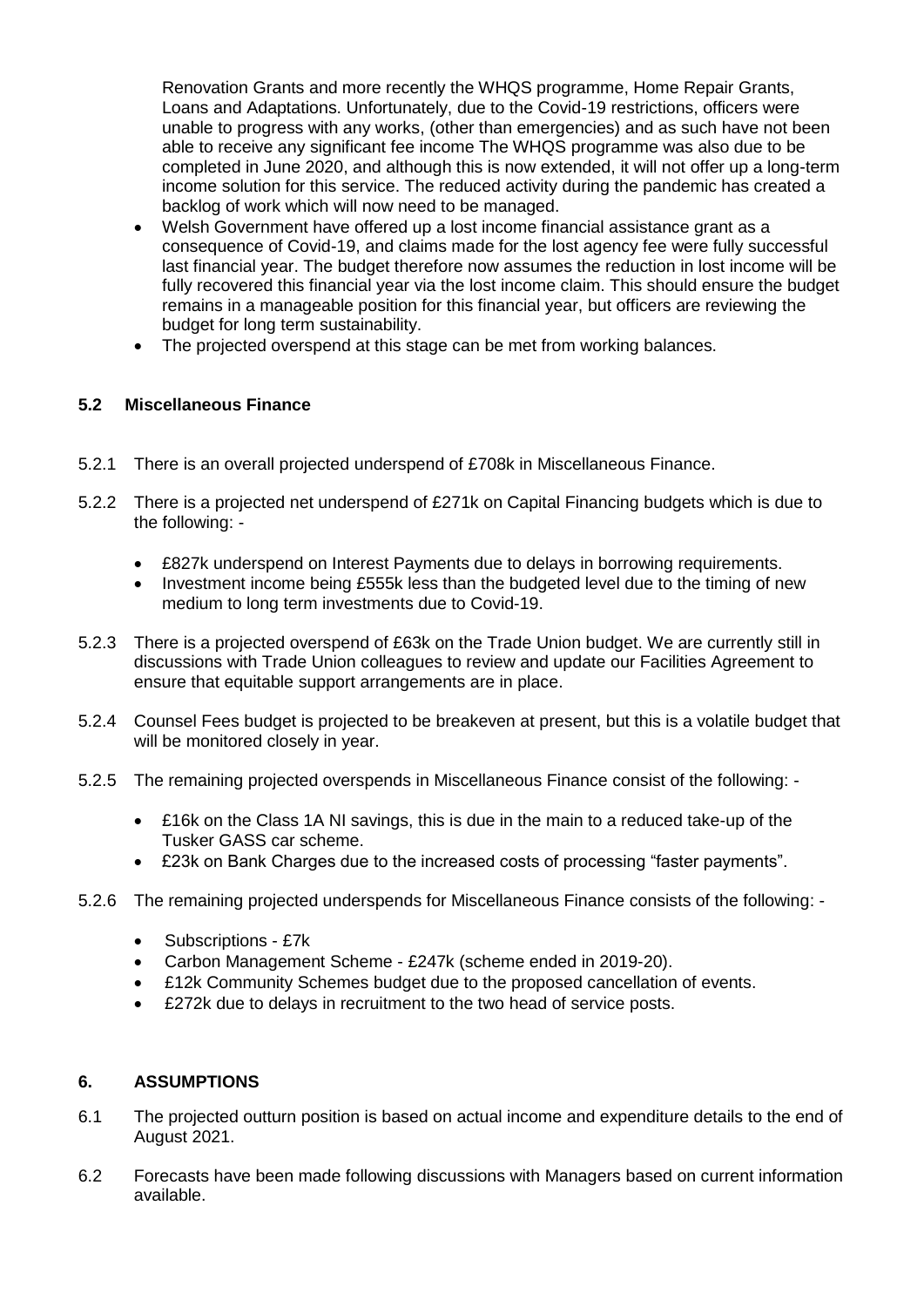Renovation Grants and more recently the WHQS programme, Home Repair Grants, Loans and Adaptations. Unfortunately, due to the Covid-19 restrictions, officers were unable to progress with any works, (other than emergencies) and as such have not been able to receive any significant fee income The WHQS programme was also due to be completed in June 2020, and although this is now extended, it will not offer up a long-term income solution for this service. The reduced activity during the pandemic has created a backlog of work which will now need to be managed.

- Welsh Government have offered up a lost income financial assistance grant as a consequence of Covid-19, and claims made for the lost agency fee were fully successful last financial year. The budget therefore now assumes the reduction in lost income will be fully recovered this financial year via the lost income claim. This should ensure the budget remains in a manageable position for this financial year, but officers are reviewing the budget for long term sustainability.
- The projected overspend at this stage can be met from working balances.

# **5.2 Miscellaneous Finance**

- 5.2.1 There is an overall projected underspend of £708k in Miscellaneous Finance.
- 5.2.2 There is a projected net underspend of £271k on Capital Financing budgets which is due to the following: -
	- £827k underspend on Interest Payments due to delays in borrowing requirements.
	- Investment income being £555k less than the budgeted level due to the timing of new medium to long term investments due to Covid-19.
- 5.2.3 There is a projected overspend of £63k on the Trade Union budget. We are currently still in discussions with Trade Union colleagues to review and update our Facilities Agreement to ensure that equitable support arrangements are in place.
- 5.2.4 Counsel Fees budget is projected to be breakeven at present, but this is a volatile budget that will be monitored closely in year.
- 5.2.5 The remaining projected overspends in Miscellaneous Finance consist of the following:
	- £16k on the Class 1A NI savings, this is due in the main to a reduced take-up of the Tusker GASS car scheme.
	- £23k on Bank Charges due to the increased costs of processing "faster payments".
- 5.2.6 The remaining projected underspends for Miscellaneous Finance consists of the following:
	- Subscriptions £7k
	- Carbon Management Scheme £247k (scheme ended in 2019-20).
	- £12k Community Schemes budget due to the proposed cancellation of events.
	- £272k due to delays in recruitment to the two head of service posts.

### **6. ASSUMPTIONS**

- 6.1 The projected outturn position is based on actual income and expenditure details to the end of August 2021.
- 6.2 Forecasts have been made following discussions with Managers based on current information available.